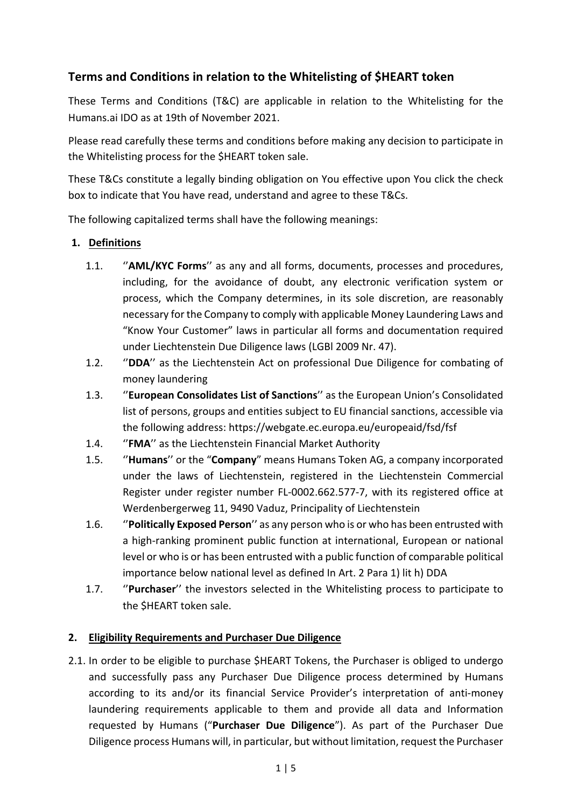# **Terms and Conditions in relation to the Whitelisting of \$HEART token**

These Terms and Conditions (T&C) are applicable in relation to the Whitelisting for the Humans.ai IDO as at 19th of November 2021.

Please read carefully these terms and conditions before making any decision to participate in the Whitelisting process for the \$HEART token sale.

These T&Cs constitute a legally binding obligation on You effective upon You click the check box to indicate that You have read, understand and agree to these T&Cs.

The following capitalized terms shall have the following meanings:

### **1. Definitions**

- 1.1. ''**AML/KYC Forms**'' as any and all forms, documents, processes and procedures, including, for the avoidance of doubt, any electronic verification system or process, which the Company determines, in its sole discretion, are reasonably necessary for the Company to comply with applicable Money Laundering Laws and "Know Your Customer" laws in particular all forms and documentation required under Liechtenstein Due Diligence laws (LGBl 2009 Nr. 47).
- 1.2. ''**DDA**'' as the Liechtenstein Act on professional Due Diligence for combating of money laundering
- 1.3. ''**European Consolidates List of Sanctions**'' as the European Union's Consolidated list of persons, groups and entities subject to EU financial sanctions, accessible via the following address: https://webgate.ec.europa.eu/europeaid/fsd/fsf
- 1.4. ''**FMA**'' as the Liechtenstein Financial Market Authority
- 1.5. ''**Humans**'' or the "**Company**" means Humans Token AG, a company incorporated under the laws of Liechtenstein, registered in the Liechtenstein Commercial Register under register number FL-0002.662.577-7, with its registered office at Werdenbergerweg 11, 9490 Vaduz, Principality of Liechtenstein
- 1.6. ''**Politically Exposed Person**'' as any person who is or who has been entrusted with a high-ranking prominent public function at international, European or national level or who is or has been entrusted with a public function of comparable political importance below national level as defined In Art. 2 Para 1) lit h) DDA
- 1.7. ''**Purchaser**'' the investors selected in the Whitelisting process to participate to the \$HEART token sale.

## **2. Eligibility Requirements and Purchaser Due Diligence**

2.1. In order to be eligible to purchase \$HEART Tokens, the Purchaser is obliged to undergo and successfully pass any Purchaser Due Diligence process determined by Humans according to its and/or its financial Service Provider's interpretation of anti-money laundering requirements applicable to them and provide all data and Information requested by Humans ("**Purchaser Due Diligence**"). As part of the Purchaser Due Diligence process Humans will, in particular, but without limitation, request the Purchaser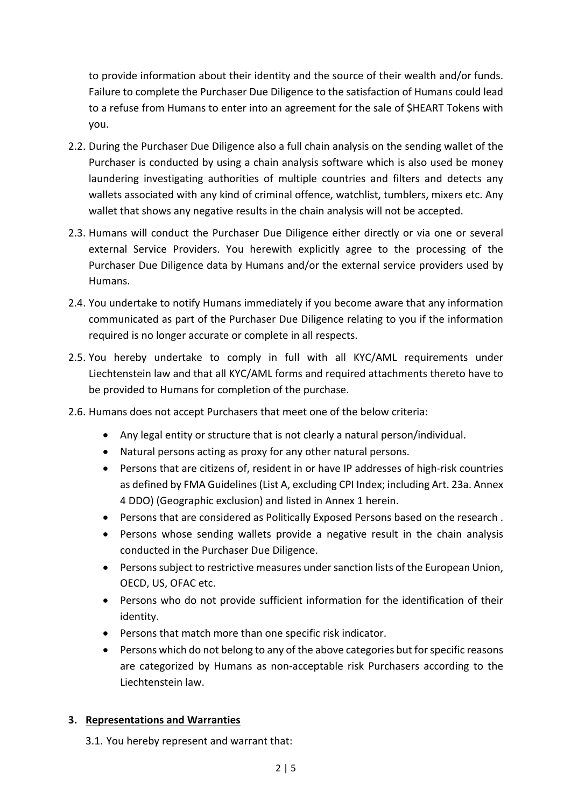to provide information about their identity and the source of their wealth and/or funds. Failure to complete the Purchaser Due Diligence to the satisfaction of Humans could lead to a refuse from Humans to enter into an agreement for the sale of \$HEART Tokens with you.

- 2.2. During the Purchaser Due Diligence also a full chain analysis on the sending wallet of the Purchaser is conducted by using a chain analysis software which is also used be money laundering investigating authorities of multiple countries and filters and detects any wallets associated with any kind of criminal offence, watchlist, tumblers, mixers etc. Any wallet that shows any negative results in the chain analysis will not be accepted.
- 2.3. Humans will conduct the Purchaser Due Diligence either directly or via one or several external Service Providers. You herewith explicitly agree to the processing of the Purchaser Due Diligence data by Humans and/or the external service providers used by Humans.
- 2.4. You undertake to notify Humans immediately if you become aware that any information communicated as part of the Purchaser Due Diligence relating to you if the information required is no longer accurate or complete in all respects.
- 2.5. You hereby undertake to comply in full with all KYC/AML requirements under Liechtenstein law and that all KYC/AML forms and required attachments thereto have to be provided to Humans for completion of the purchase.
- 2.6. Humans does not accept Purchasers that meet one of the below criteria:
	- Any legal entity or structure that is not clearly a natural person/individual.
	- Natural persons acting as proxy for any other natural persons.
	- Persons that are citizens of, resident in or have IP addresses of high-risk countries as defined by FMA Guidelines (List A, excluding CPI Index; including Art. 23a. Annex 4 DDO) (Geographic exclusion) and listed in Annex 1 herein.
	- Persons that are considered as Politically Exposed Persons based on the research .
	- Persons whose sending wallets provide a negative result in the chain analysis conducted in the Purchaser Due Diligence.
	- Persons subject to restrictive measures under sanction lists of the European Union, OECD, US, OFAC etc.
	- Persons who do not provide sufficient information for the identification of their identity.
	- Persons that match more than one specific risk indicator.
	- Persons which do not belong to any of the above categories but for specific reasons are categorized by Humans as non-acceptable risk Purchasers according to the Liechtenstein law.

#### **3. Representations and Warranties**

3.1. You hereby represent and warrant that: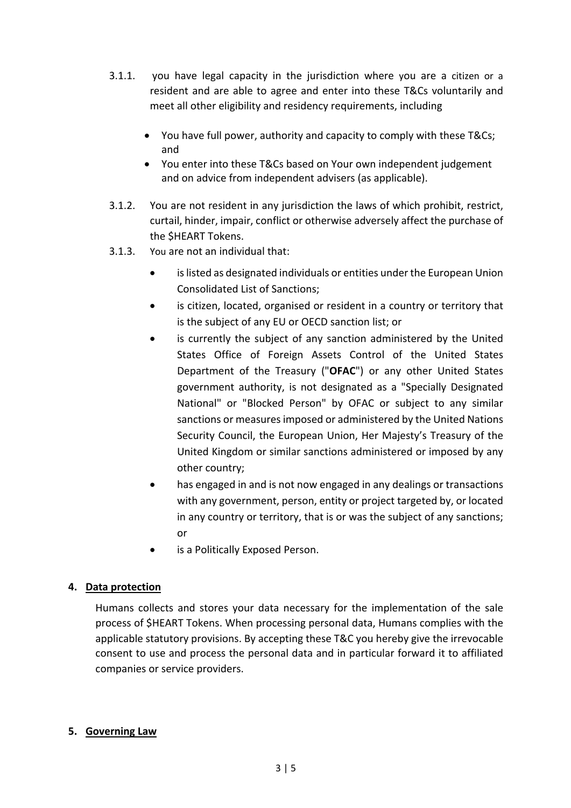- 3.1.1. you have legal capacity in the jurisdiction where you are a citizen or a resident and are able to agree and enter into these T&Cs voluntarily and meet all other eligibility and residency requirements, including
	- You have full power, authority and capacity to comply with these T&Cs; and
	- You enter into these T&Cs based on Your own independent judgement and on advice from independent advisers (as applicable).
- 3.1.2. You are not resident in any jurisdiction the laws of which prohibit, restrict, curtail, hinder, impair, conflict or otherwise adversely affect the purchase of the \$HEART Tokens.
- 3.1.3. You are not an individual that:
	- is listed as designated individuals or entities under the European Union Consolidated List of Sanctions;
	- is citizen, located, organised or resident in a country or territory that is the subject of any EU or OECD sanction list; or
	- is currently the subject of any sanction administered by the United States Office of Foreign Assets Control of the United States Department of the Treasury ("**OFAC**") or any other United States government authority, is not designated as a "Specially Designated National" or "Blocked Person" by OFAC or subject to any similar sanctions or measures imposed or administered by the United Nations Security Council, the European Union, Her Majesty's Treasury of the United Kingdom or similar sanctions administered or imposed by any other country;
	- has engaged in and is not now engaged in any dealings or transactions with any government, person, entity or project targeted by, or located in any country or territory, that is or was the subject of any sanctions; or
	- is a Politically Exposed Person.

#### **4. Data protection**

Humans collects and stores your data necessary for the implementation of the sale process of \$HEART Tokens. When processing personal data, Humans complies with the applicable statutory provisions. By accepting these T&C you hereby give the irrevocable consent to use and process the personal data and in particular forward it to affiliated companies or service providers.

#### **5. Governing Law**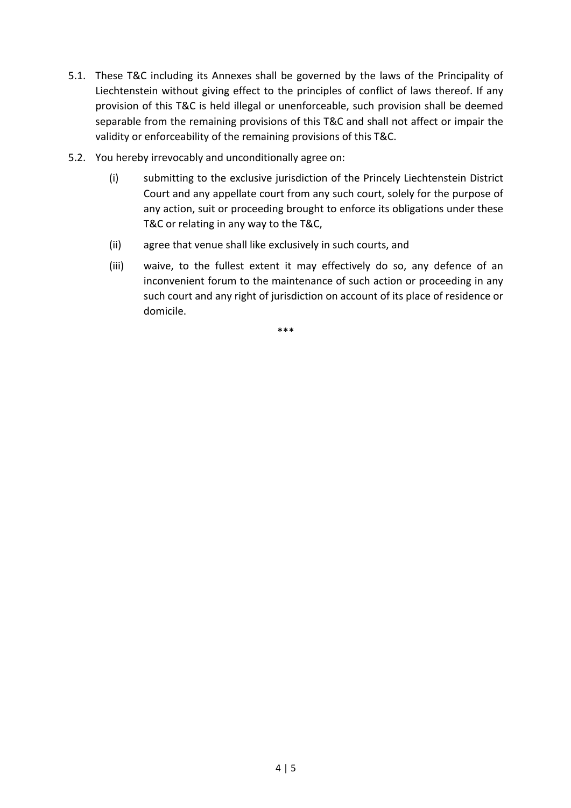- 5.1. These T&C including its Annexes shall be governed by the laws of the Principality of Liechtenstein without giving effect to the principles of conflict of laws thereof. If any provision of this T&C is held illegal or unenforceable, such provision shall be deemed separable from the remaining provisions of this T&C and shall not affect or impair the validity or enforceability of the remaining provisions of this T&C.
- 5.2. You hereby irrevocably and unconditionally agree on:
	- (i) submitting to the exclusive jurisdiction of the Princely Liechtenstein District Court and any appellate court from any such court, solely for the purpose of any action, suit or proceeding brought to enforce its obligations under these T&C or relating in any way to the T&C,
	- (ii) agree that venue shall like exclusively in such courts, and
	- (iii) waive, to the fullest extent it may effectively do so, any defence of an inconvenient forum to the maintenance of such action or proceeding in any such court and any right of jurisdiction on account of its place of residence or domicile.

\*\*\*